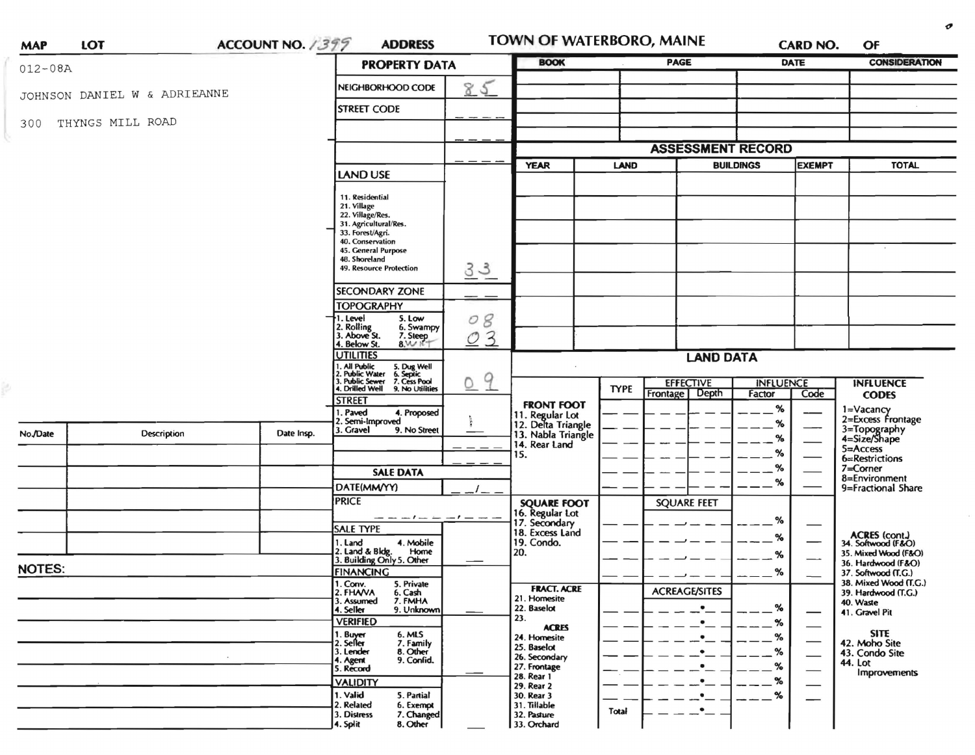| $012 - 08A$<br>85<br>NEIGHBORHOOD CODE<br>JOHNSON DANIEL W & ADRIEANNE<br><b>STREET CODE</b><br>THYNGS MILL ROAD<br>300<br><b>ASSESSMENT RECORD</b><br><b>BUILDINGS</b><br><b>EXEMPT</b><br><b>YEAR</b><br><b>LAND</b><br><b>LAND USE</b><br>11. Residential<br>21. Village<br>22. Village/Res.<br>31. Agricultural/Res.<br>33. Forest/Agri.<br>40. Conservation<br>45. General Purpose<br>48. Shoreland<br>33<br>49. Resource Protection<br><b>SECONDARY ZONE</b><br><b>TOPOGRAPHY</b><br>8<br>1. Level<br>5. Low<br>0<br>2. Rolling<br>3. Above St.<br>6. Swampy<br>3<br>7. Steep<br>O<br>4. Below St.<br>8.1416<br><b>UTILITIES</b><br><b>LAND DATA</b><br>1. All Public<br>2. Public Water<br>3. Public Sewer<br>5. Dug Well<br>6. Septic<br>7. Cess Pool<br>9<br>0<br><b>EFFECTIVE</b><br><b>INFLUENCE</b><br><b>TYPE</b><br>4. Drilled Well<br>9. No Utilities<br>Depth<br>Frontage<br>Factor<br>Code<br><b>STREET</b><br><b>FRONT FOOT</b><br>%<br>1=Vacancy<br>1. Paved<br>4. Proposed<br>11. Regular Lot<br>12. Delta Triangle<br>2. Semi-Improved<br>%<br>3=Topography<br>4=Size/Shape<br>3. Gravel<br>9. No Street<br>Description<br>No./Date<br>Date Insp.<br>13. Nabla Triangle<br>%<br>14. Rear Land<br>$5 =$ Access<br>%<br>15.<br>%<br>7=Corner<br><b>SALE DATA</b><br>8=Environment<br>%<br>DATE(MM/YY)<br><b>PRICE</b><br><b>SQUARE FEET</b><br><b>SQUARE FOOT</b><br>16. Regular Lot<br>17. Secondary<br>- -<br>%<br>—<br><b>SALE TYPE</b><br>18. Excess Land<br>%<br>4. Mobile<br>19. Condo.<br>1. Land<br>2. Land & Bldg. Home<br>3. Building Only 5. Other<br>Home<br>20.<br>%<br><b>NOTES:</b><br><b>FINANCING</b><br>%<br>1. Conv.<br>5. Private<br><b>FRACT. ACRE</b><br><b>ACREAGE/SITES</b><br>2. FHAVA<br>6. Cash<br>7. FMHA<br>21. Homesite<br>3. Assumed<br>40. Waste<br>22. Baselot<br>%<br>٠<br>4. Seller<br>9. Unknown<br>41. Gravel Pit<br>—<br>23.<br><b>VERIFIED</b><br>$\%$<br><b>ACRES</b><br>1. Buyer<br>2. Seller<br>6. MLS<br>%<br>24. Homesite<br>7. Family<br>42. Moho Site<br>25. Baselot<br>8. Other<br>9. Confid.<br>3. Lender<br>%<br>43. Condo Site<br>26. Secondary<br>4. Agent<br>44. Lot<br>27. Frontage<br>℅<br>5. Record<br>28. Rear 1<br>℅<br><b>VALIDITY</b> | <b>CONSIDERATION</b>                         |  |  |  |  |  |
|---------------------------------------------------------------------------------------------------------------------------------------------------------------------------------------------------------------------------------------------------------------------------------------------------------------------------------------------------------------------------------------------------------------------------------------------------------------------------------------------------------------------------------------------------------------------------------------------------------------------------------------------------------------------------------------------------------------------------------------------------------------------------------------------------------------------------------------------------------------------------------------------------------------------------------------------------------------------------------------------------------------------------------------------------------------------------------------------------------------------------------------------------------------------------------------------------------------------------------------------------------------------------------------------------------------------------------------------------------------------------------------------------------------------------------------------------------------------------------------------------------------------------------------------------------------------------------------------------------------------------------------------------------------------------------------------------------------------------------------------------------------------------------------------------------------------------------------------------------------------------------------------------------------------------------------------------------------------------------------------------------------------------------------------------------------------------------------------------------------------------------------------------------------------------------------------------------------------|----------------------------------------------|--|--|--|--|--|
|                                                                                                                                                                                                                                                                                                                                                                                                                                                                                                                                                                                                                                                                                                                                                                                                                                                                                                                                                                                                                                                                                                                                                                                                                                                                                                                                                                                                                                                                                                                                                                                                                                                                                                                                                                                                                                                                                                                                                                                                                                                                                                                                                                                                                     |                                              |  |  |  |  |  |
|                                                                                                                                                                                                                                                                                                                                                                                                                                                                                                                                                                                                                                                                                                                                                                                                                                                                                                                                                                                                                                                                                                                                                                                                                                                                                                                                                                                                                                                                                                                                                                                                                                                                                                                                                                                                                                                                                                                                                                                                                                                                                                                                                                                                                     |                                              |  |  |  |  |  |
|                                                                                                                                                                                                                                                                                                                                                                                                                                                                                                                                                                                                                                                                                                                                                                                                                                                                                                                                                                                                                                                                                                                                                                                                                                                                                                                                                                                                                                                                                                                                                                                                                                                                                                                                                                                                                                                                                                                                                                                                                                                                                                                                                                                                                     |                                              |  |  |  |  |  |
|                                                                                                                                                                                                                                                                                                                                                                                                                                                                                                                                                                                                                                                                                                                                                                                                                                                                                                                                                                                                                                                                                                                                                                                                                                                                                                                                                                                                                                                                                                                                                                                                                                                                                                                                                                                                                                                                                                                                                                                                                                                                                                                                                                                                                     |                                              |  |  |  |  |  |
|                                                                                                                                                                                                                                                                                                                                                                                                                                                                                                                                                                                                                                                                                                                                                                                                                                                                                                                                                                                                                                                                                                                                                                                                                                                                                                                                                                                                                                                                                                                                                                                                                                                                                                                                                                                                                                                                                                                                                                                                                                                                                                                                                                                                                     | <b>TOTAL</b>                                 |  |  |  |  |  |
|                                                                                                                                                                                                                                                                                                                                                                                                                                                                                                                                                                                                                                                                                                                                                                                                                                                                                                                                                                                                                                                                                                                                                                                                                                                                                                                                                                                                                                                                                                                                                                                                                                                                                                                                                                                                                                                                                                                                                                                                                                                                                                                                                                                                                     |                                              |  |  |  |  |  |
|                                                                                                                                                                                                                                                                                                                                                                                                                                                                                                                                                                                                                                                                                                                                                                                                                                                                                                                                                                                                                                                                                                                                                                                                                                                                                                                                                                                                                                                                                                                                                                                                                                                                                                                                                                                                                                                                                                                                                                                                                                                                                                                                                                                                                     |                                              |  |  |  |  |  |
|                                                                                                                                                                                                                                                                                                                                                                                                                                                                                                                                                                                                                                                                                                                                                                                                                                                                                                                                                                                                                                                                                                                                                                                                                                                                                                                                                                                                                                                                                                                                                                                                                                                                                                                                                                                                                                                                                                                                                                                                                                                                                                                                                                                                                     |                                              |  |  |  |  |  |
|                                                                                                                                                                                                                                                                                                                                                                                                                                                                                                                                                                                                                                                                                                                                                                                                                                                                                                                                                                                                                                                                                                                                                                                                                                                                                                                                                                                                                                                                                                                                                                                                                                                                                                                                                                                                                                                                                                                                                                                                                                                                                                                                                                                                                     |                                              |  |  |  |  |  |
|                                                                                                                                                                                                                                                                                                                                                                                                                                                                                                                                                                                                                                                                                                                                                                                                                                                                                                                                                                                                                                                                                                                                                                                                                                                                                                                                                                                                                                                                                                                                                                                                                                                                                                                                                                                                                                                                                                                                                                                                                                                                                                                                                                                                                     |                                              |  |  |  |  |  |
|                                                                                                                                                                                                                                                                                                                                                                                                                                                                                                                                                                                                                                                                                                                                                                                                                                                                                                                                                                                                                                                                                                                                                                                                                                                                                                                                                                                                                                                                                                                                                                                                                                                                                                                                                                                                                                                                                                                                                                                                                                                                                                                                                                                                                     |                                              |  |  |  |  |  |
|                                                                                                                                                                                                                                                                                                                                                                                                                                                                                                                                                                                                                                                                                                                                                                                                                                                                                                                                                                                                                                                                                                                                                                                                                                                                                                                                                                                                                                                                                                                                                                                                                                                                                                                                                                                                                                                                                                                                                                                                                                                                                                                                                                                                                     |                                              |  |  |  |  |  |
|                                                                                                                                                                                                                                                                                                                                                                                                                                                                                                                                                                                                                                                                                                                                                                                                                                                                                                                                                                                                                                                                                                                                                                                                                                                                                                                                                                                                                                                                                                                                                                                                                                                                                                                                                                                                                                                                                                                                                                                                                                                                                                                                                                                                                     | <b>INFLUENCE</b>                             |  |  |  |  |  |
|                                                                                                                                                                                                                                                                                                                                                                                                                                                                                                                                                                                                                                                                                                                                                                                                                                                                                                                                                                                                                                                                                                                                                                                                                                                                                                                                                                                                                                                                                                                                                                                                                                                                                                                                                                                                                                                                                                                                                                                                                                                                                                                                                                                                                     | <b>CODES</b>                                 |  |  |  |  |  |
|                                                                                                                                                                                                                                                                                                                                                                                                                                                                                                                                                                                                                                                                                                                                                                                                                                                                                                                                                                                                                                                                                                                                                                                                                                                                                                                                                                                                                                                                                                                                                                                                                                                                                                                                                                                                                                                                                                                                                                                                                                                                                                                                                                                                                     | 2=Excess Frontage                            |  |  |  |  |  |
|                                                                                                                                                                                                                                                                                                                                                                                                                                                                                                                                                                                                                                                                                                                                                                                                                                                                                                                                                                                                                                                                                                                                                                                                                                                                                                                                                                                                                                                                                                                                                                                                                                                                                                                                                                                                                                                                                                                                                                                                                                                                                                                                                                                                                     |                                              |  |  |  |  |  |
|                                                                                                                                                                                                                                                                                                                                                                                                                                                                                                                                                                                                                                                                                                                                                                                                                                                                                                                                                                                                                                                                                                                                                                                                                                                                                                                                                                                                                                                                                                                                                                                                                                                                                                                                                                                                                                                                                                                                                                                                                                                                                                                                                                                                                     | 6=Restrictions                               |  |  |  |  |  |
|                                                                                                                                                                                                                                                                                                                                                                                                                                                                                                                                                                                                                                                                                                                                                                                                                                                                                                                                                                                                                                                                                                                                                                                                                                                                                                                                                                                                                                                                                                                                                                                                                                                                                                                                                                                                                                                                                                                                                                                                                                                                                                                                                                                                                     |                                              |  |  |  |  |  |
|                                                                                                                                                                                                                                                                                                                                                                                                                                                                                                                                                                                                                                                                                                                                                                                                                                                                                                                                                                                                                                                                                                                                                                                                                                                                                                                                                                                                                                                                                                                                                                                                                                                                                                                                                                                                                                                                                                                                                                                                                                                                                                                                                                                                                     | 9=Fractional 5hare                           |  |  |  |  |  |
|                                                                                                                                                                                                                                                                                                                                                                                                                                                                                                                                                                                                                                                                                                                                                                                                                                                                                                                                                                                                                                                                                                                                                                                                                                                                                                                                                                                                                                                                                                                                                                                                                                                                                                                                                                                                                                                                                                                                                                                                                                                                                                                                                                                                                     |                                              |  |  |  |  |  |
|                                                                                                                                                                                                                                                                                                                                                                                                                                                                                                                                                                                                                                                                                                                                                                                                                                                                                                                                                                                                                                                                                                                                                                                                                                                                                                                                                                                                                                                                                                                                                                                                                                                                                                                                                                                                                                                                                                                                                                                                                                                                                                                                                                                                                     |                                              |  |  |  |  |  |
|                                                                                                                                                                                                                                                                                                                                                                                                                                                                                                                                                                                                                                                                                                                                                                                                                                                                                                                                                                                                                                                                                                                                                                                                                                                                                                                                                                                                                                                                                                                                                                                                                                                                                                                                                                                                                                                                                                                                                                                                                                                                                                                                                                                                                     | ACRES (cont.)<br>34. Softwood (F&O)          |  |  |  |  |  |
|                                                                                                                                                                                                                                                                                                                                                                                                                                                                                                                                                                                                                                                                                                                                                                                                                                                                                                                                                                                                                                                                                                                                                                                                                                                                                                                                                                                                                                                                                                                                                                                                                                                                                                                                                                                                                                                                                                                                                                                                                                                                                                                                                                                                                     | 35. Mixed Wood (F&O)<br>36. Hardwood (F&O)   |  |  |  |  |  |
|                                                                                                                                                                                                                                                                                                                                                                                                                                                                                                                                                                                                                                                                                                                                                                                                                                                                                                                                                                                                                                                                                                                                                                                                                                                                                                                                                                                                                                                                                                                                                                                                                                                                                                                                                                                                                                                                                                                                                                                                                                                                                                                                                                                                                     | 37. Softwood (T.G.)<br>38. Mixed Wood (T.G.) |  |  |  |  |  |
|                                                                                                                                                                                                                                                                                                                                                                                                                                                                                                                                                                                                                                                                                                                                                                                                                                                                                                                                                                                                                                                                                                                                                                                                                                                                                                                                                                                                                                                                                                                                                                                                                                                                                                                                                                                                                                                                                                                                                                                                                                                                                                                                                                                                                     | 39. Hardwood (T.G.)                          |  |  |  |  |  |
|                                                                                                                                                                                                                                                                                                                                                                                                                                                                                                                                                                                                                                                                                                                                                                                                                                                                                                                                                                                                                                                                                                                                                                                                                                                                                                                                                                                                                                                                                                                                                                                                                                                                                                                                                                                                                                                                                                                                                                                                                                                                                                                                                                                                                     |                                              |  |  |  |  |  |
|                                                                                                                                                                                                                                                                                                                                                                                                                                                                                                                                                                                                                                                                                                                                                                                                                                                                                                                                                                                                                                                                                                                                                                                                                                                                                                                                                                                                                                                                                                                                                                                                                                                                                                                                                                                                                                                                                                                                                                                                                                                                                                                                                                                                                     | <b>SITE</b>                                  |  |  |  |  |  |
|                                                                                                                                                                                                                                                                                                                                                                                                                                                                                                                                                                                                                                                                                                                                                                                                                                                                                                                                                                                                                                                                                                                                                                                                                                                                                                                                                                                                                                                                                                                                                                                                                                                                                                                                                                                                                                                                                                                                                                                                                                                                                                                                                                                                                     |                                              |  |  |  |  |  |
|                                                                                                                                                                                                                                                                                                                                                                                                                                                                                                                                                                                                                                                                                                                                                                                                                                                                                                                                                                                                                                                                                                                                                                                                                                                                                                                                                                                                                                                                                                                                                                                                                                                                                                                                                                                                                                                                                                                                                                                                                                                                                                                                                                                                                     |                                              |  |  |  |  |  |
|                                                                                                                                                                                                                                                                                                                                                                                                                                                                                                                                                                                                                                                                                                                                                                                                                                                                                                                                                                                                                                                                                                                                                                                                                                                                                                                                                                                                                                                                                                                                                                                                                                                                                                                                                                                                                                                                                                                                                                                                                                                                                                                                                                                                                     | Improvements                                 |  |  |  |  |  |
| 29. Rear 2<br>1. Valid<br>5. Partial<br>℅<br>30. Rear 3                                                                                                                                                                                                                                                                                                                                                                                                                                                                                                                                                                                                                                                                                                                                                                                                                                                                                                                                                                                                                                                                                                                                                                                                                                                                                                                                                                                                                                                                                                                                                                                                                                                                                                                                                                                                                                                                                                                                                                                                                                                                                                                                                             |                                              |  |  |  |  |  |
| 2. Related<br>6. Exempt<br>31. Tillable<br>Total<br>7. Changed<br>3. Distress<br>32. Pasture                                                                                                                                                                                                                                                                                                                                                                                                                                                                                                                                                                                                                                                                                                                                                                                                                                                                                                                                                                                                                                                                                                                                                                                                                                                                                                                                                                                                                                                                                                                                                                                                                                                                                                                                                                                                                                                                                                                                                                                                                                                                                                                        |                                              |  |  |  |  |  |